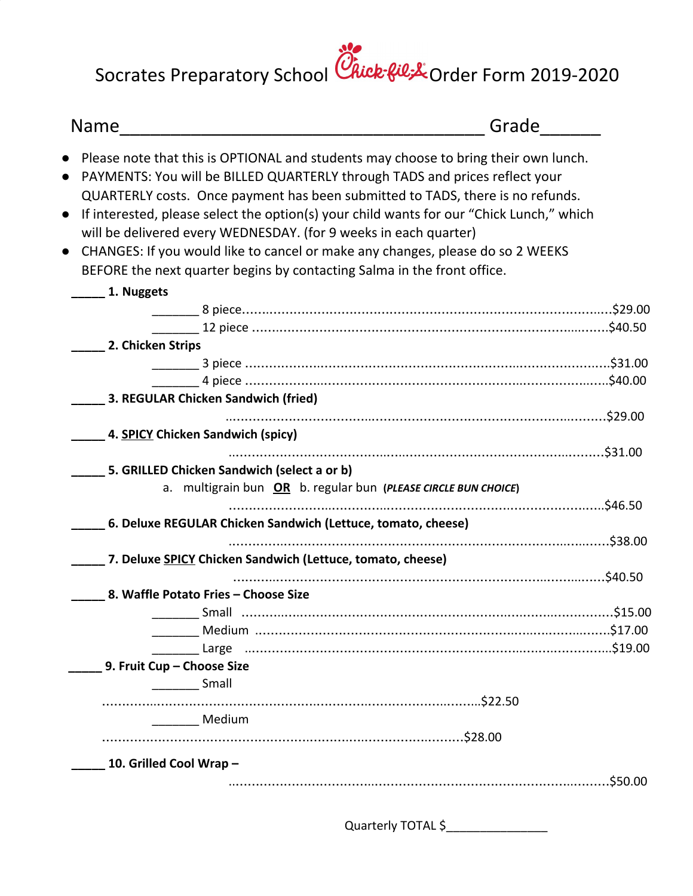Socrates Preparatory School Chick-fil & Order Form 2019-2020

| <b>Name</b>                                                                              | Grade                                                     |
|------------------------------------------------------------------------------------------|-----------------------------------------------------------|
| Please note that this is OPTIONAL and students may choose to bring their own lunch.      |                                                           |
| PAYMENTS: You will be BILLED QUARTERLY through TADS and prices reflect your              |                                                           |
| QUARTERLY costs. Once payment has been submitted to TADS, there is no refunds.           |                                                           |
| If interested, please select the option(s) your child wants for our "Chick Lunch," which |                                                           |
| will be delivered every WEDNESDAY. (for 9 weeks in each quarter)                         |                                                           |
| CHANGES: If you would like to cancel or make any changes, please do so 2 WEEKS           |                                                           |
|                                                                                          |                                                           |
| BEFORE the next quarter begins by contacting Salma in the front office.                  |                                                           |
| 1. Nuggets                                                                               |                                                           |
|                                                                                          |                                                           |
|                                                                                          | _______ 12 piece ………………………………………………………………………………………\$40.50 |
| 2. Chicken Strips                                                                        |                                                           |
|                                                                                          |                                                           |
|                                                                                          |                                                           |
| 3. REGULAR Chicken Sandwich (fried)                                                      |                                                           |
|                                                                                          |                                                           |
|                                                                                          |                                                           |
| 4. SPICY Chicken Sandwich (spicy)                                                        |                                                           |
|                                                                                          |                                                           |
| 5. GRILLED Chicken Sandwich (select a or b)                                              |                                                           |
| a. multigrain bun OR b. regular bun (PLEASE CIRCLE BUN CHOICE)                           |                                                           |
|                                                                                          |                                                           |
| 6. Deluxe REGULAR Chicken Sandwich (Lettuce, tomato, cheese)                             |                                                           |
|                                                                                          |                                                           |
| 7. Deluxe SPICY Chicken Sandwich (Lettuce, tomato, cheese)                               |                                                           |
|                                                                                          |                                                           |
| 8. Waffle Potato Fries - Choose Size                                                     |                                                           |
|                                                                                          |                                                           |
|                                                                                          |                                                           |
|                                                                                          |                                                           |
| 9. Fruit Cup - Choose Size                                                               |                                                           |
| <b>Small</b>                                                                             |                                                           |
|                                                                                          |                                                           |
| Medium                                                                                   |                                                           |
|                                                                                          |                                                           |

Quarterly TOTAL \$\_\_\_\_\_\_\_\_\_\_\_\_\_\_\_